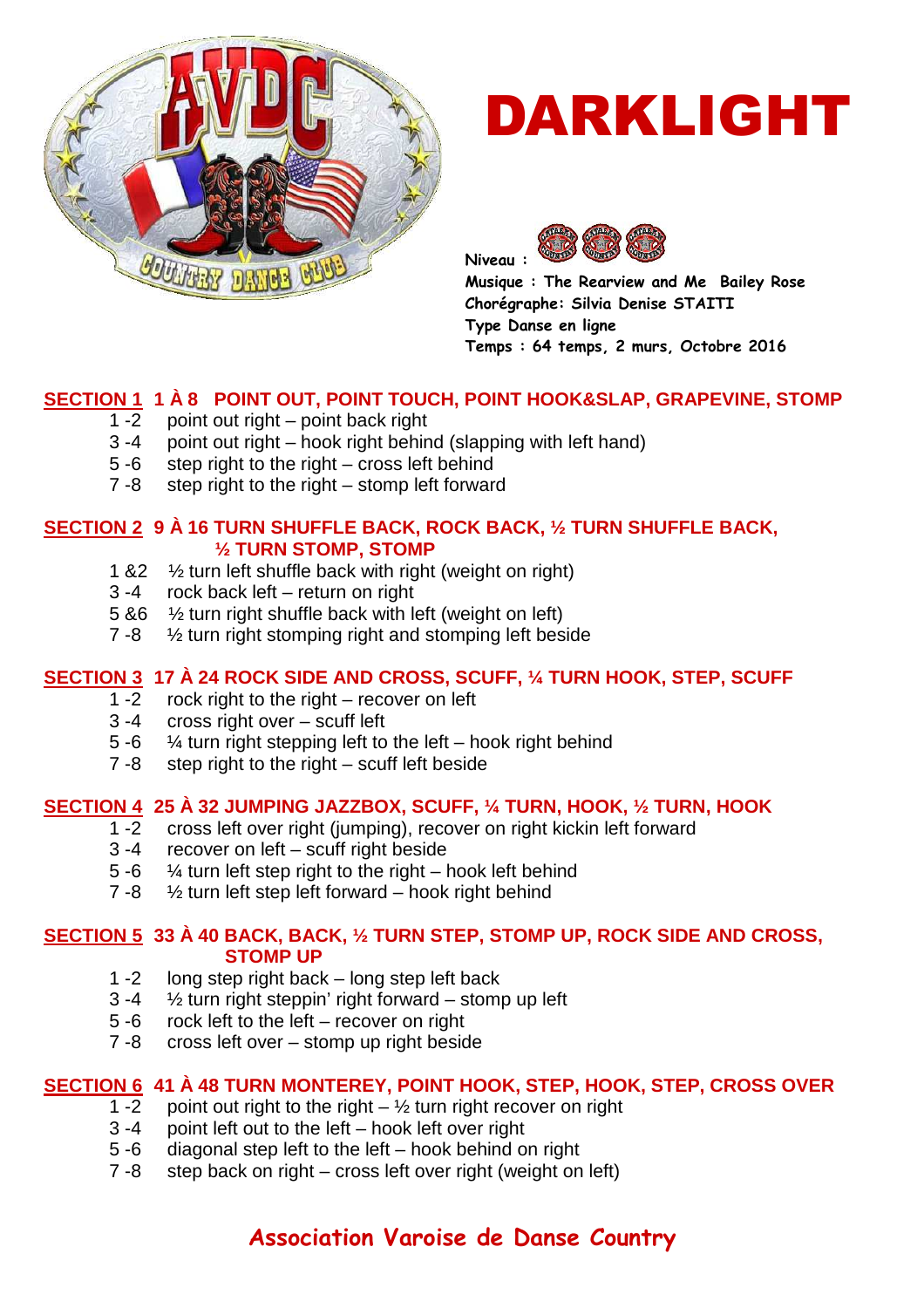

# DARKLIGHT



**Musique : The Rearview and Me Bailey Rose Chorégraphe: Silvia Denise STAITI Type Danse en ligne Temps : 64 temps, 2 murs, Octobre 2016** 

## **SECTION 1 1 À 8 POINT OUT, POINT TOUCH, POINT HOOK&SLAP, GRAPEVINE, STOMP**

- 1 -2 point out right point back right
- 3 -4 point out right hook right behind (slapping with left hand)
- 5 -6 step right to the right cross left behind
- 7 -8 step right to the right stomp left forward

## **SECTION 2 9 À 16 TURN SHUFFLE BACK, ROCK BACK, ½ TURN SHUFFLE BACK, ½ TURN STOMP, STOMP**

- 1 &2 ½ turn left shuffle back with right (weight on right)
- 3 -4 rock back left return on right
- 5 &6 ½ turn right shuffle back with left (weight on left)
- 7 -8 ½ turn right stomping right and stomping left beside

## **SECTION 3 17 À 24 ROCK SIDE AND CROSS, SCUFF, ¼ TURN HOOK, STEP, SCUFF**

- 1 -2 rock right to the right recover on left
- 3 -4 cross right over scuff left
- 5 -6  $\frac{1}{4}$  turn right stepping left to the left hook right behind
- 7 -8 step right to the right scuff left beside

## **SECTION 4 25 À 32 JUMPING JAZZBOX, SCUFF, ¼ TURN, HOOK, ½ TURN, HOOK**

- 1 -2 cross left over right (jumping), recover on right kickin left forward
- 3 -4 recover on left scuff right beside
- 5 -6  $\frac{1}{4}$  turn left step right to the right hook left behind
- 7 -8 ½ turn left step left forward hook right behind

# **SECTION 5 33 À 40 BACK, BACK, ½ TURN STEP, STOMP UP, ROCK SIDE AND CROSS, STOMP UP**<br>1-2 long step right back

- 1 -2 long step right back long step left back<br>3 -4  $\frac{1}{2}$  turn right steppin' right forward stome
- $\frac{1}{2}$  turn right steppin' right forward stomp up left
- 5 -6 rock left to the left recover on right
- 7 -8 cross left over stomp up right beside

## **SECTION 6 41 À 48 TURN MONTEREY, POINT HOOK, STEP, HOOK, STEP, CROSS OVER**

- 1 -2 point out right to the right  $-$  1/2 turn right recover on right
- 3 -4 point left out to the left hook left over right
- 5 -6 diagonal step left to the left hook behind on right
- 7 -8 step back on right cross left over right (weight on left)

## **Association Varoise de Danse Country**